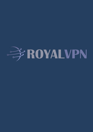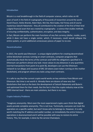#### **Introduction**

Bitcoin is a real breakthrough in the field of computer science, which relies on 40 years of work in the field of cryptography of thousands of researchers around the world. David Chaum, Stefan Brands, Adam Back, Wei Dai, Nick Szabo, Hal Finney and of course mysterious Satoshi Nakamoto - they all contributed to the creation of the first of their kind a digital financial asset that was created by cryptography - a science that studies methods of ensuring confidentiality, authentication, encryption, and data integrity.

In fact, Bitcoin can perform the main functions of any fiat currency (dollar, rouble, yuan), while it does not have a single center, which, if necessary, could would collapse the entire system, or print additional unnecessary pieces of paper to no one.

### **Decentralization**

In 2015, the world saw Ethereum - a unique digital platform for creating decentralized online blockchain services running on smart contracts, computer programs that automatically check the terms of the contract and fulfill the obligations specified in it. Ethereum can perform almost any task: move values to any distances in any quantities (normal transactions from point A to point B), developers can use the Ethereum network to run dApps and issuance of ERC-20 tokens (own token running on the mother blockchain), and program almost any tasks using smart contracts.

It is safe to say that the current crypto world works on key solutions from Bitcoin and Ethereum. But time is not worth it. Already there are dozens of new very fast blockchains that took as the basis the development of Satoshi Nakamoto and Buterin and optimized them for their needs. But the fact is that the crypto industry now at the 1995 Internet level - there are main solutions, but there is no mass.

# **Crypto Industry Problems**

"Imaginary anonymity. Most even the most experienced crypto users think that digital assets provide complete anonymity. This is not true. Technically, everyone can track the operation on a specific wallet, but won't know who he belongs to. However, it is only worth matching the IP address and wallet number, so immediately the entire history of operations is deanonymized and it will be possible with easy to restore its entire history. This, for example, is done by the service Chainalysis.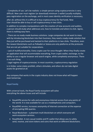- Complexity of use. Let's be realistic: a simple person using cryptocurrencies is very difficult. New user must register (or download) minimum 1 wallet (usually multiple), pass registration on the exchange, and in most cases identity verification is necessary,

after all, without this it is difficult to buy cryptocurrency for fiat funds. New User should be able to buy or sell cryptocurrency in two clicks.

In addition to complex manipulations with the creation of new accounts and wallets, a person should study what addresses are, how to translate and where to click. Agree, there is nothing easy here.

- There are no ready-made business solutions. Large companies do not want to mess with by introducing blockchain into their business, they need a ready-made solution that they just will be purchased and twisted to their platforms in two clicks. Therefore, even the newest blockchains such as Polkadot or Solana are only platforms at the protocols that are not yet suitable for corporations.

- Lack of multifunctionality. Every crypto user for once thought: When they finally create an application that will accommodate everything, from crypto wallet, exchange, to the ability to use a regular browser and search engine, while completely anonymous. There is no such thing.

- Legal regime of cryptocurrencies. In most countries, cryptocurrency regulation is in limbo: some states prohibit, others stimulate, and others do not take digital assets for granted at all.

Any company that works in the crypto industry does not know what will happen even tomorrow.

# **Royal Family**

With universal tools, the Royal Family ecosystem will solve everything the above issues and will include:

- RoyalVPN service for safe and anonymous Internet access from any points of the world. It is now available for use as a mobilephones and computers.
- RoyalDNS service, increases anonymity of Internet connection at the expense of encrypting DNS queries.
- Royal Blockchain a phantom multi blockchain on which everyone will work ecosystem services.
- RoyalWallet. A non-casual mobile and PC wallet that allows you to safely send, receive, and store tokens and coins that work on different blockchains.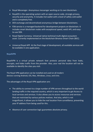- Royal Messenger. Anonymous messenger working on its own blockchain.
- RoyalOS is the operating system with an open source code, strongly privacy, security and anonymity. It includes hot wallet with a level of safety cold wallet and is completely free.
- DEX exchange and decentralized anonymous bridge between blockchains.
- FSN service is a managed backend for development projects on blockchain. It includes smart blockchain nodes with exceptional speed, web3 API, and easyto-use SDK.
- Royal Digital Currency. Universal native technical multi-digital ecosystem asset. Currently implemented on the blockchain Binance Smart Chain (BSC).
- Universal Royal APP. At the final stage of development, all available services will be available in one application.

# **RoyalVPN**

RoyalVPN is a virtual private network that protects personal data from leaks, encrypts, and hides traffic from the provider. Also, your real the location will not be available to identify the sites you visit.

The Royal VPN application can be installed and used on all modern devices running Android, iOS, Mac, Windows, Linux, and Unix.

The advantages of the Royal VPN application are:

- The ability to connect to a large number of VPN servers throughout to the world landing traffic in the required country, which is very important to get Access to local services and services. It also allows you to access resources and services that are restricted by various policies motives. And also, which is not insignificant, it allows you to hide the real location from surveillance, preventing your IP address from being used for this.
- Absence of user connection logic guarantees absolute privacy.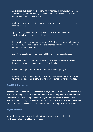- Application availability for all operating systems such as Windows, MacOS, Android, iOS, \* nix will allow you to use the VPN service on all available computers, phones, and even TVs.
- Built-in security CyberSec increases security connections and protects you from underneath
- Split tunneling allows you to start only traffic from the VPN tunnel specific applications you have selected.
- Kill Switch blocks Internet access without VPN. It is very important if you do not want your device to connect to the Internet without establishing secure connection to the VSN server.
- Auto-Connect allows you to enable VPN when the device is loaded.
- Free access to a basic set of features to assess convenience use the service before purchasing access to enhanced functionality.
- Convenient payment methods and discounts when signing up.
- Referral program, gives you the opportunity to receive a free subscription to enhanced app functionality, and help your friends be more protected.

#### **RoyalDNS - DoH service**

Another popular product of the company is RoyalDNS - DNS over HTTPS service that protects DNS requests from interception by intruders and prevents the provider and special services from saving the history of your actions on the Internet. It also increases your security in today's realities. In addition, Royal offers caste development services in network security and implementation in existing systems Customer.

#### **Royal Blockchain**

Royal Blockchain - a phantom blockchain consortium on which they will work absolutely all Royal Family services.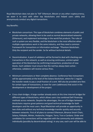Royal Blockchain does not plan to "kill" Ethereum, Bitcoin or any other cryptocurrency, we want it to exist with other top blockchains and helped users safely and anonymously conduct any digital transactions.

Key Benefits:

- Blockchain consortium. This type of blockchain combines elements of public and private networks, allowing them to be used as normal decentralized networks (Ethereum), and implement technology in the world fiat products. The rules of such a system are very flexible, and the blockchain is the most effective when multiple organizations work in the same industry, and they need a common framework for transactions or information exchange. "Phantom blockchain. Only the recipient and the sender. So far without technical details.
- Decentralization. A pool of validators will be formed to deal with checking user transactions in the network, as well as ensuring continuous, uninterrupted operation of the blockchain by confirming transactions; production of new blocks. Each validator must ensure that the nod has always been active otherwise, validators will receive serious fines.
- Minimum commissions or their complete absence. Conference fees transactions will be approximately at the level of the Solana blockchain, where for 1 regular the transfer needs to pay a small fraction of a cent. Will also be provided zero fees for certain types of transactions, or even for users (addresses) that assist in the development or development of the project.
- Cross-chain bridges. A large number already exists at this time Internet bridges for different types of blockchains, which allows users Use combined DeFi financing methods across networks. Despite the advantages, the use of bridges between blockchains requires great patience and good technical knowledge for both developers and the most users. Royal Blockchain will provide an opportunity in two clicks and without any technical knowledge transfer quickly and securely between networks. First of all plans to connect Ethereum, Binance Smart Chain, Solana, Polkadot, Minter, Avalanche, Polygon, Terra, Tron и Cardano. Order and candidates for connections will be negotiate with the community and validators individually (possibly by decentralized voting). In any case, each user will be able to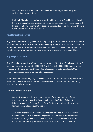transfer their assets between blockchains very quickly, anonymously and with minimal commissions.

 Built-in DEX exchanger. As in every modern blockchain, in Royal Blockchain will be its own decentralized trading platform, where its assets will be managed only by the user. So far, no innovative teddy is not provided - standard DEX with basic functions Pancakeswap or Uniswap.

### **Royal Smart Node Service**

Royal Smart Node Service (SNS) is an analogue of giant infrastructure services for web3 development projects such as QuickNode, Alchemy, ANKR, Infura. The main advantage is your own security environment Royal SNS, from which all development projects will benefit. He has no competitors in the market. More details will be provided later.

### **Royal Digital Currency**

Royal Digital Currency (Royal) is a native digital asset of the Royal Family ecosystem. The maximum emission will be 1 000 000 000 Royal. The first 200 000 000 tokens will be released on the Binance Smart Chain (BSC) blockchain, to automate ICO, IDO and simplify distribution tokens for marketing purposes.

From the initial release, 50,000,000 will be allocated for private sale. For public sale, no more than 75,000,000 Royal. Another 75,000,000 Royal will be spent on marketing goals and brand promotion.

The rest 800 000 000 Royal:

- Depending on the tasks, trend and interest of the community, different the number of tokens will be issued on blockchains Solana, Polkadot, Minter, Avalanche, Polygon, Terra, Tron, Cardano and others where will be formed decentralized liquidity pools.
- About half of the issue will be mined in the form of a native coin in the Royal network Blockchain. It is worth noting that Royal Blockchain will perform the function of a bridge over which Royal token/coin can be distilled into different blockchains without any problems to perform a variety of tasks. And most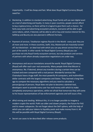importantly - it will be cheap and fast. What does Royal Digital Currency (Royal) need for:

- Marketing. In addition to standard advertising, Royal Family will use own digital asset as a tool of advertising and loyalty. In many in poor countries, people cannot afford to buy cryptocurrency, so there will be it is logical to give them such a chance - for fairly easy tasks and advertising ecosystem products, everyone will be able to get some tokens, which, if desired, will be able to sell or buy and receive interest for this. Selfdrop and Bounty are also planned in different formats.
- Payment of services. Totalitarian regimes flourish in the World every year they are all more and more. In these countries, Swift, Visa, Mastercard are massively turned off, but blockchain - an ideal tool with which you can pay almost service from any part of the world. In other words: for Royal Digital Currency (Royal) you can purchase not only Royal Family ecosystem services, but also products and services of partners with whom already cooperation negotiations are under way.
- Anonymous and secure translations around the world. Royal Digital Currency (Royal) will offer each user real anonymity. Many people think that Bitcoin is anonymous. No. If desired, almost any transfers during a certain time can be tracked and even compared with a real person. Wonderful services like Chainalysis have a huge staff, the most powerful AI computers, and multimilliondollar contracts with the largest companies and States. They learned a long time ago to compare the necessary algorithms and you need to calculate a person/group of persons. Royal does not plan to become a darknet tool, developers want to provide every user has real money with which to make completely anonymous operations, while not afraid that tomorrow they will come to his house representatives of law enforcement agencies and will issue a fine.
- dPoS mining and stealing. Without this, it is no longer possible to imagine a modern crypto the world. PoW use older and slower projects, the future for PoS and its newer subspecies. Do not forget about the DeFi sphere, with the help of which you can add your tokens to liquidity pools and make money from it. All this will be possible with Royal Digital Currency (Royal).
- Secret use cases to be described after release some products.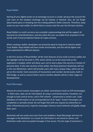### **Royal Wallet**

Storing all your digital assets on an exchange account is unsafe, because the account the user even on the steepest exchange can be hacked, or blocked. Also, do not forget about bankruptcy or breaking into the trading platform (hello Livecoin). Therefore, keep assets on your own wallet, to which there is access only the user has the best solution.

Royal Wallet is a multi-currency non-custodial cryptocoonbag that will be support all top (and not only) blockchains, and also allow the user use wallet from anywhere in the world, even if local jurisdiction blocks all crypto services.

When creating a wallet, developers are primarily equal to long-term industry leader - Trust Wallet. Royal Wallet will have similar functionality, but this will be lighter and more optimized for different devices.

In the first version of Royal Wallet, all the main features of any multi-currency wallet, but the highlight will be the built-in VPN, which will be run at the same time as the application is loaded, which will allow users not to worry about the security or breach of personal data. In the next versions of the wallet, the Royal phantom blockchain will act as the core Blockchain, which will provide users with many unique chips, which are not yet on the market: total anonymity of transactions and number stored assets, built-in DEX bridge, as well as several others secret novelties (details will be in later stages of development).

#### **Royal Messenger**

Almost all current instant messengers are either centralized or built on P2P technologies - in both cases, data can be intercepted. At using a centralized system, fraudsters are enough to hack central server, and in P2P scheme - compromise a certain user. Code (database of information on all correspondence) of all "pops" instant messengers are completely or partially closed. Do not forget that with any request by authorities (or other influential persons), majority messengers famous social networks will gladly merge their users.

Blockchain will very easily save users from such problems. Royal Messenger will store all messages in the blockchain: as a result, the information is not stored on device, and blockchain nodes store encrypted messages in free access. The last stage of protection is